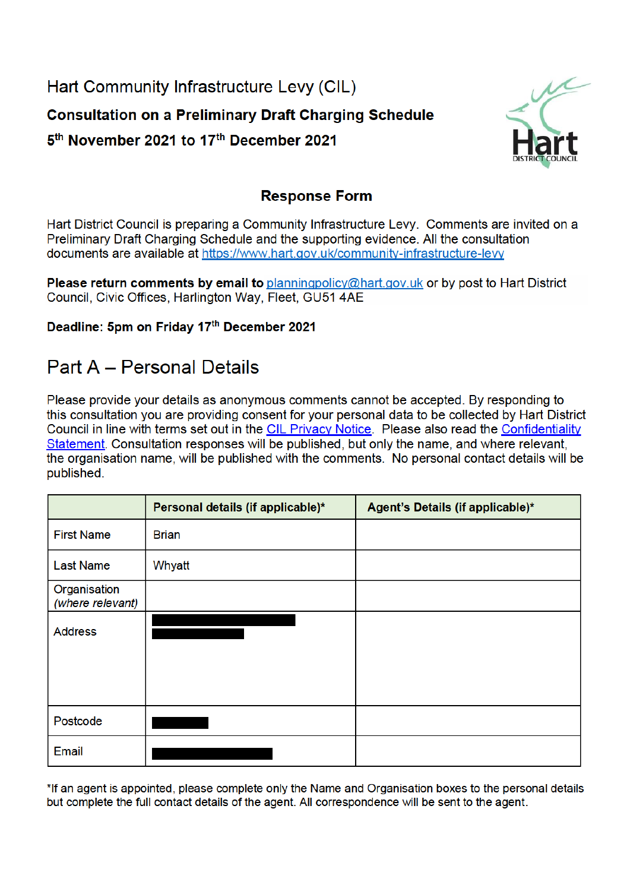Hart Community Infrastructure Levy (CIL) **Consultation on a Preliminary Draft Charging Schedule** 5<sup>th</sup> November 2021 to 17<sup>th</sup> December 2021



## **Response Form**

Hart District Council is preparing a Community Infrastructure Levy. Comments are invited on a Preliminary Draft Charging Schedule and the supporting evidence. All the consultation documents are available at https://www.hart.gov.uk/community-infrastructure-levy

Please return comments by email to planningpolicy@hart.gov.uk or by post to Hart District Council, Civic Offices, Harlington Way, Fleet, GU51 4AE

### Deadline: 5pm on Friday 17th December 2021

# **Part A - Personal Details**

Please provide your details as anonymous comments cannot be accepted. By responding to this consultation you are providing consent for your personal data to be collected by Hart District Council in line with terms set out in the CIL Privacy Notice. Please also read the Confidentiality Statement. Consultation responses will be published, but only the name, and where relevant, the organisation name, will be published with the comments. No personal contact details will be published.

|                                  | Personal details (if applicable)* | Agent's Details (if applicable)* |
|----------------------------------|-----------------------------------|----------------------------------|
| <b>First Name</b>                | <b>Brian</b>                      |                                  |
| <b>Last Name</b>                 | Whyatt                            |                                  |
| Organisation<br>(where relevant) |                                   |                                  |
| <b>Address</b>                   |                                   |                                  |
| Postcode                         |                                   |                                  |
| Email                            |                                   |                                  |

\*If an agent is appointed, please complete only the Name and Organisation boxes to the personal details but complete the full contact details of the agent. All correspondence will be sent to the agent.